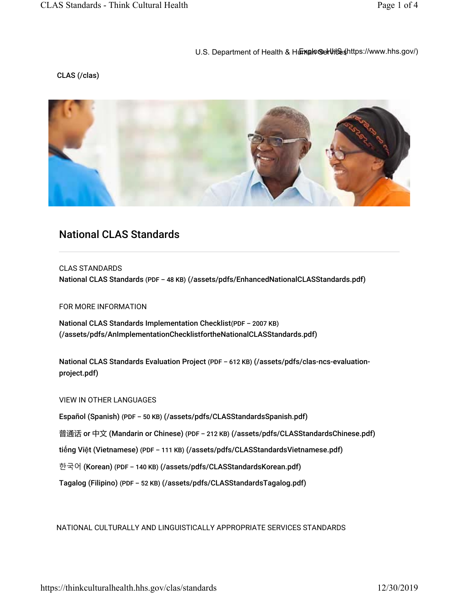## U.S. Department of Health & Human Services Antres://www.hhs.gov/)

## CLAS (/clas)



# National CLAS Standards

CLAS STANDARDS National CLAS Standards (PDF - 48 KB) (/assets/pdfs/EnhancedNationalCLASStandards.pdf)

FOR MORE INFORMATION

National CLAS Standards Implementation Checklist(PDF – 2007 KB) (/assets/pdfs/AnImplementationChecklistfortheNationalCLASStandards.pdf)

National CLAS Standards Evaluation Project (PDF - 612 KB) (/assets/pdfs/clas-ncs-evaluationproject.pdf)

#### VIEW IN OTHER LANGUAGES

Español (Spanish) (PDF - 50 KB) (/assets/pdfs/CLASStandardsSpanish.pdf)

普通话 or 中文 (Mandarin or Chinese) (PDF - 212 KB) (/assets/pdfs/CLASStandardsChinese.pdf)

tiếng Việt (Vietnamese) (PDF - 111 KB) (/assets/pdfs/CLASStandardsVietnamese.pdf)

한국어 (Korean) (PDF – 140 KB) (/assets/pdfs/CLASStandardsKorean.pdf)

Tagalog (Filipino) (PDF - 52 KB) (/assets/pdfs/CLASStandardsTagalog.pdf)

NATIONAL CULTURALLY AND LINGUISTICALLY APPROPRIATE SERVICES STANDARDS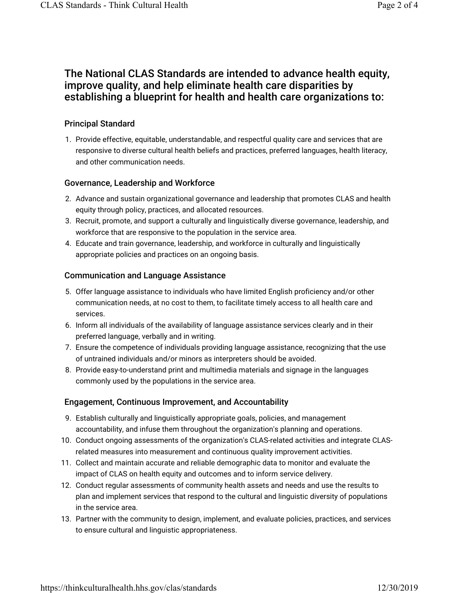## The National CLAS Standards are intended to advance health equity, improve quality, and help eliminate health care disparities by establishing a blueprint for health and health care organizations to:

## Principal Standard

1. Provide effective, equitable, understandable, and respectful quality care and services that are responsive to diverse cultural health beliefs and practices, preferred languages, health literacy, and other communication needs.

#### Governance, Leadership and Workforce

- 2. Advance and sustain organizational governance and leadership that promotes CLAS and health equity through policy, practices, and allocated resources.
- 3. Recruit, promote, and support a culturally and linguistically diverse governance, leadership, and workforce that are responsive to the population in the service area.
- 4. Educate and train governance, leadership, and workforce in culturally and linguistically appropriate policies and practices on an ongoing basis.

#### Communication and Language Assistance

- 5. Offer language assistance to individuals who have limited English proficiency and/or other communication needs, at no cost to them, to facilitate timely access to all health care and services.
- 6. Inform all individuals of the availability of language assistance services clearly and in their preferred language, verbally and in writing.
- 7. Ensure the competence of individuals providing language assistance, recognizing that the use of untrained individuals and/or minors as interpreters should be avoided.
- 8. Provide easy-to-understand print and multimedia materials and signage in the languages commonly used by the populations in the service area.

## Engagement, Continuous Improvement, and Accountability

- 9. Establish culturally and linguistically appropriate goals, policies, and management accountability, and infuse them throughout the organization's planning and operations.
- 10. Conduct ongoing assessments of the organization's CLAS-related activities and integrate CLASrelated measures into measurement and continuous quality improvement activities.
- 11. Collect and maintain accurate and reliable demographic data to monitor and evaluate the impact of CLAS on health equity and outcomes and to inform service delivery.
- 12. Conduct regular assessments of community health assets and needs and use the results to plan and implement services that respond to the cultural and linguistic diversity of populations in the service area.
- 13. Partner with the community to design, implement, and evaluate policies, practices, and services to ensure cultural and linguistic appropriateness.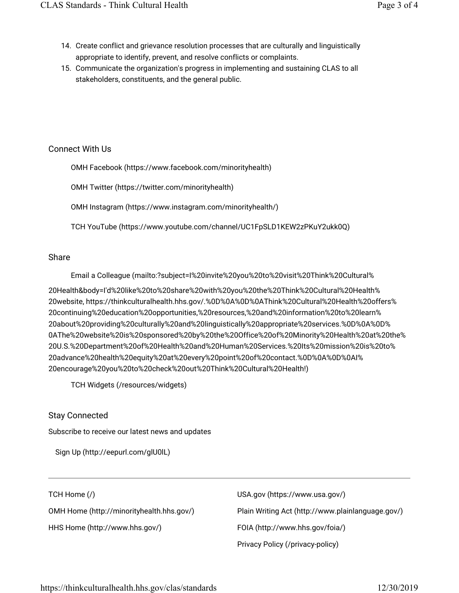- 14. Create conflict and grievance resolution processes that are culturally and linguistically appropriate to identify, prevent, and resolve conflicts or complaints.
- 15. Communicate the organization's progress in implementing and sustaining CLAS to all stakeholders, constituents, and the general public.

## Connect With Us

OMH Facebook (https://www.facebook.com/minorityhealth)

OMH Twitter (https://twitter.com/minorityhealth)

OMH Instagram (https://www.instagram.com/minorityhealth/)

TCH YouTube (https://www.youtube.com/channel/UC1FpSLD1KEW2zPKuY2ukk0Q)

## Share

Email a Colleague (mailto:?subject=I%20invite%20you%20to%20visit%20Think%20Cultural%

20Health&body=I'd%20like%20to%20share%20with%20you%20the%20Think%20Cultural%20Health% 20website, https://thinkculturalhealth.hhs.gov/.%0D%0A%0D%0AThink%20Cultural%20Health%20offers% 20continuing%20education%20opportunities,%20resources,%20and%20information%20to%20learn% 20about%20providing%20culturally%20and%20linguistically%20appropriate%20services.%0D%0A%0D% 0AThe%20website%20is%20sponsored%20by%20the%20Office%20of%20Minority%20Health%20at%20the% 20U.S.%20Department%20of%20Health%20and%20Human%20Services.%20Its%20mission%20is%20to% 20advance%20health%20equity%20at%20every%20point%20of%20contact.%0D%0A%0D%0AI% 20encourage%20you%20to%20check%20out%20Think%20Cultural%20Health!)

TCH Widgets (/resources/widgets)

## Stay Connected

Subscribe to receive our latest news and updates

Sign Up (http://eepurl.com/glU0lL)

## TCH Home (/)

OMH Home (http://minorityhealth.hhs.gov/)

HHS Home (http://www.hhs.gov/)

USA.gov (https://www.usa.gov/) Plain Writing Act (http://www.plainlanguage.gov/) FOIA (http://www.hhs.gov/foia/) Privacy Policy (/privacy-policy)